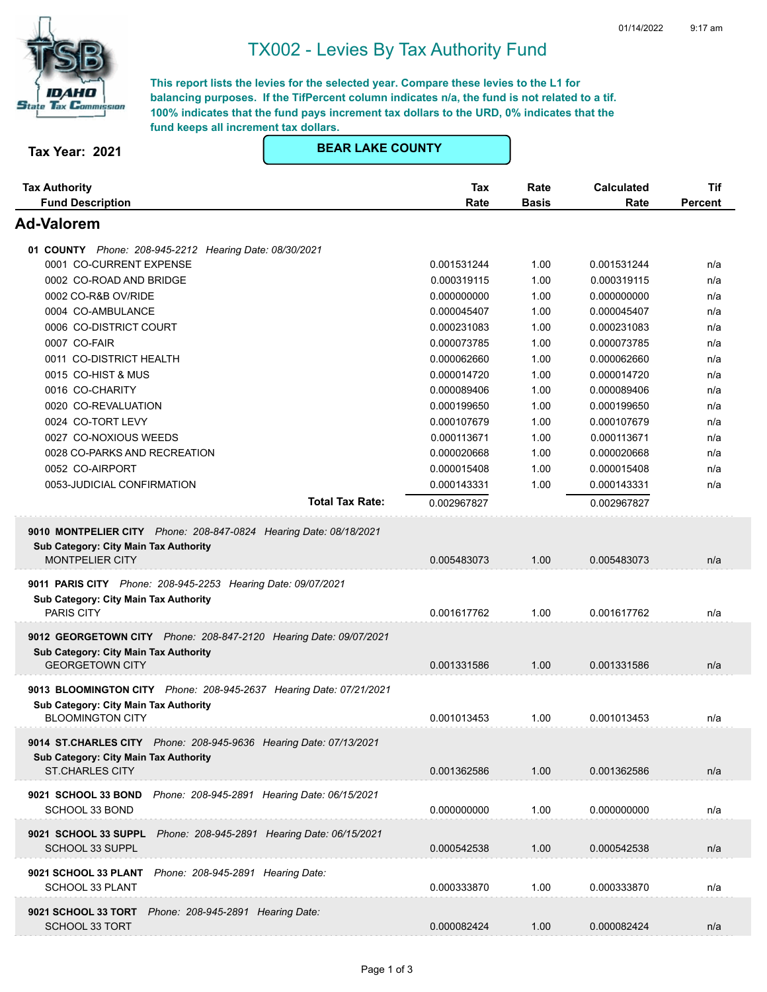

## TX002 - Levies By Tax Authority Fund

**This report lists the levies for the selected year. Compare these levies to the L1 for balancing purposes. If the TifPercent column indicates n/a, the fund is not related to a tif. 100% indicates that the fund pays increment tax dollars to the URD, 0% indicates that the fund keeps all increment tax dollars.**

## **Tax Year: 2021 BEAR LAKE COUNTY**

| <b>Tax Authority</b><br><b>Fund Description</b>                                      | Tax<br>Rate | Rate<br><b>Basis</b> | <b>Calculated</b><br>Rate | Tif<br><b>Percent</b> |
|--------------------------------------------------------------------------------------|-------------|----------------------|---------------------------|-----------------------|
| Ad-Valorem                                                                           |             |                      |                           |                       |
| 01 COUNTY Phone: 208-945-2212 Hearing Date: 08/30/2021                               |             |                      |                           |                       |
| 0001 CO-CURRENT EXPENSE                                                              | 0.001531244 | 1.00                 | 0.001531244               | n/a                   |
| 0002 CO-ROAD AND BRIDGE                                                              | 0.000319115 | 1.00                 | 0.000319115               | n/a                   |
| 0002 CO-R&B OV/RIDE                                                                  | 0.000000000 | 1.00                 | 0.000000000               | n/a                   |
| 0004 CO-AMBULANCE                                                                    | 0.000045407 | 1.00                 | 0.000045407               | n/a                   |
| 0006 CO-DISTRICT COURT                                                               | 0.000231083 | 1.00                 | 0.000231083               | n/a                   |
| 0007 CO-FAIR                                                                         | 0.000073785 | 1.00                 | 0.000073785               | n/a                   |
| 0011 CO-DISTRICT HEALTH                                                              | 0.000062660 | 1.00                 | 0.000062660               | n/a                   |
| 0015 CO-HIST & MUS                                                                   | 0.000014720 | 1.00                 | 0.000014720               | n/a                   |
| 0016 CO-CHARITY                                                                      | 0.000089406 | 1.00                 | 0.000089406               | n/a                   |
| 0020 CO-REVALUATION                                                                  | 0.000199650 | 1.00                 | 0.000199650               | n/a                   |
| 0024 CO-TORT LEVY                                                                    | 0.000107679 | 1.00                 | 0.000107679               | n/a                   |
| 0027 CO-NOXIOUS WEEDS                                                                | 0.000113671 | 1.00                 | 0.000113671               | n/a                   |
| 0028 CO-PARKS AND RECREATION                                                         | 0.000020668 | 1.00                 | 0.000020668               | n/a                   |
| 0052 CO-AIRPORT                                                                      | 0.000015408 | 1.00                 | 0.000015408               | n/a                   |
| 0053-JUDICIAL CONFIRMATION                                                           | 0.000143331 | 1.00                 | 0.000143331               | n/a                   |
| <b>Total Tax Rate:</b>                                                               | 0.002967827 |                      | 0.002967827               |                       |
| 9010 MONTPELIER CITY Phone: 208-847-0824 Hearing Date: 08/18/2021                    |             |                      |                           |                       |
| Sub Category: City Main Tax Authority                                                |             |                      |                           |                       |
| <b>MONTPELIER CITY</b>                                                               | 0.005483073 | 1.00                 | 0.005483073               | n/a                   |
| 9011 PARIS CITY Phone: 208-945-2253 Hearing Date: 09/07/2021                         |             |                      |                           |                       |
| Sub Category: City Main Tax Authority                                                |             |                      |                           |                       |
| <b>PARIS CITY</b>                                                                    | 0.001617762 | 1.00                 | 0.001617762               | n/a                   |
| 9012 GEORGETOWN CITY Phone: 208-847-2120 Hearing Date: 09/07/2021                    |             |                      |                           |                       |
| Sub Category: City Main Tax Authority                                                |             |                      |                           |                       |
| <b>GEORGETOWN CITY</b>                                                               | 0.001331586 | 1.00                 | 0.001331586               | n/a                   |
| 9013 BLOOMINGTON CITY Phone: 208-945-2637 Hearing Date: 07/21/2021                   |             |                      |                           |                       |
| Sub Category: City Main Tax Authority                                                |             |                      |                           |                       |
| <b>BLOOMINGTON CITY</b>                                                              | 0.001013453 | 1.00                 | 0.001013453               | n/a                   |
|                                                                                      |             |                      |                           |                       |
| 9014 ST.CHARLES CITY Phone: 208-945-9636 Hearing Date: 07/13/2021                    |             |                      |                           |                       |
| Sub Category: City Main Tax Authority                                                |             |                      |                           |                       |
| <b>ST.CHARLES CITY</b>                                                               | 0.001362586 | 1.00                 | 0.001362586               | n/a                   |
| 9021 SCHOOL 33 BOND<br>Phone: 208-945-2891 Hearing Date: 06/15/2021                  |             |                      |                           |                       |
| SCHOOL 33 BOND                                                                       | 0.000000000 | 1.00                 | 0.000000000               | n/a                   |
|                                                                                      |             |                      |                           |                       |
| 9021 SCHOOL 33 SUPPL Phone: 208-945-2891 Hearing Date: 06/15/2021<br>SCHOOL 33 SUPPL |             | 1.00                 |                           | n/a                   |
|                                                                                      | 0.000542538 |                      | 0.000542538               |                       |
| 9021 SCHOOL 33 PLANT Phone: 208-945-2891 Hearing Date:                               |             |                      |                           |                       |
| SCHOOL 33 PLANT                                                                      | 0.000333870 | 1.00                 | 0.000333870               | n/a                   |
| 9021 SCHOOL 33 TORT Phone: 208-945-2891 Hearing Date:                                |             |                      |                           |                       |
| SCHOOL 33 TORT                                                                       | 0.000082424 | 1.00                 | 0.000082424               | n/a                   |
|                                                                                      |             |                      |                           |                       |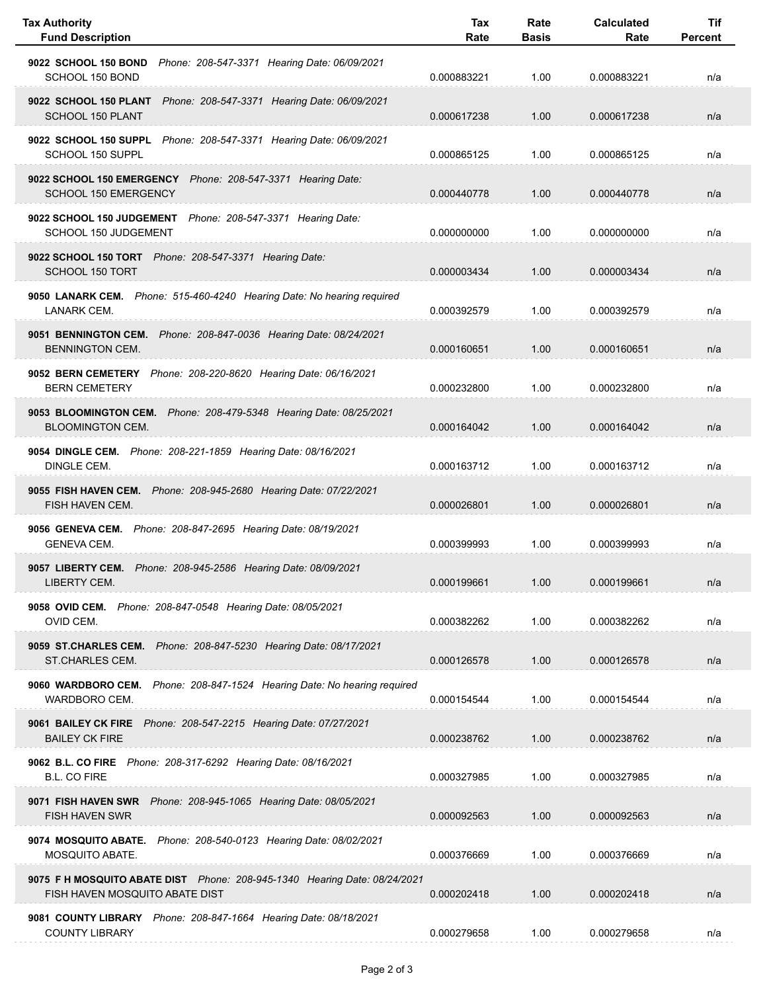| <b>Tax Authority</b><br><b>Fund Description</b>                                                             | Tax<br>Rate | Rate<br><b>Basis</b> | <b>Calculated</b><br>Rate | Tif<br>Percent |
|-------------------------------------------------------------------------------------------------------------|-------------|----------------------|---------------------------|----------------|
| 9022 SCHOOL 150 BOND<br>Phone: 208-547-3371 Hearing Date: 06/09/2021<br>SCHOOL 150 BOND                     | 0.000883221 | 1.00                 | 0.000883221               | n/a            |
| 9022 SCHOOL 150 PLANT Phone: 208-547-3371 Hearing Date: 06/09/2021<br>SCHOOL 150 PLANT                      | 0.000617238 | 1.00                 | 0.000617238               | n/a            |
| 9022 SCHOOL 150 SUPPL Phone: 208-547-3371 Hearing Date: 06/09/2021<br>SCHOOL 150 SUPPL                      | 0.000865125 | 1.00                 | 0.000865125               | n/a            |
| 9022 SCHOOL 150 EMERGENCY Phone: 208-547-3371 Hearing Date:<br>SCHOOL 150 EMERGENCY                         | 0.000440778 | 1.00                 | 0.000440778               | n/a            |
| 9022 SCHOOL 150 JUDGEMENT Phone: 208-547-3371 Hearing Date:<br>SCHOOL 150 JUDGEMENT                         | 0.000000000 | 1.00                 | 0.000000000               | n/a            |
| 9022 SCHOOL 150 TORT Phone: 208-547-3371 Hearing Date:<br><b>SCHOOL 150 TORT</b>                            | 0.000003434 | 1.00                 | 0.000003434               | n/a            |
| 9050 LANARK CEM. Phone: 515-460-4240 Hearing Date: No hearing required<br>LANARK CEM.                       | 0.000392579 | 1.00                 | 0.000392579               | n/a            |
| 9051 BENNINGTON CEM. Phone: 208-847-0036 Hearing Date: 08/24/2021<br><b>BENNINGTON CEM.</b>                 | 0.000160651 | 1.00                 | 0.000160651               | n/a            |
| 9052 BERN CEMETERY Phone: 208-220-8620 Hearing Date: 06/16/2021<br><b>BERN CEMETERY</b>                     | 0.000232800 | 1.00                 | 0.000232800               | n/a            |
| 9053 BLOOMINGTON CEM. Phone: 208-479-5348 Hearing Date: 08/25/2021<br><b>BLOOMINGTON CEM.</b>               | 0.000164042 | 1.00                 | 0.000164042               | n/a            |
| 9054 DINGLE CEM. Phone: 208-221-1859 Hearing Date: 08/16/2021<br>DINGLE CEM.                                | 0.000163712 | 1.00                 | 0.000163712               | n/a            |
| 9055 FISH HAVEN CEM. Phone: 208-945-2680 Hearing Date: 07/22/2021<br>FISH HAVEN CEM.                        | 0.000026801 | 1.00                 | 0.000026801               | n/a            |
| 9056 GENEVA CEM. Phone: 208-847-2695 Hearing Date: 08/19/2021<br><b>GENEVA CEM.</b>                         | 0.000399993 | 1.00                 | 0.000399993               | n/a            |
| 9057 LIBERTY CEM. Phone: 208-945-2586 Hearing Date: 08/09/2021<br>LIBERTY CEM.                              | 0.000199661 | 1.00                 | 0.000199661               | n/a            |
| 9058 OVID CEM. Phone: 208-847-0548 Hearing Date: 08/05/2021<br>OVID CEM.                                    | 0.000382262 | 1.00                 | 0.000382262               | n/a            |
| 9059 ST.CHARLES CEM. Phone: 208-847-5230 Hearing Date: 08/17/2021<br>ST.CHARLES CEM.                        | 0.000126578 | 1.00                 | 0.000126578               | n/a            |
| 9060 WARDBORO CEM. Phone: 208-847-1524 Hearing Date: No hearing required<br>WARDBORO CEM.                   | 0.000154544 | 1.00                 | 0.000154544               | n/a            |
| 9061 BAILEY CK FIRE    Phone: 208-547-2215    Hearing Date: 07/27/2021<br><b>BAILEY CK FIRE</b>             | 0.000238762 | 1.00                 | 0.000238762               | n/a            |
| 9062 B.L. CO FIRE Phone: 208-317-6292 Hearing Date: 08/16/2021<br><b>B.L. CO FIRE</b>                       | 0.000327985 | 1.00                 | 0.000327985               | n/a            |
| 9071 FISH HAVEN SWR    Phone: 208-945-1065    Hearing Date: 08/05/2021<br><b>FISH HAVEN SWR</b>             | 0.000092563 | 1.00                 | 0.000092563               | n/a            |
| 9074 MOSQUITO ABATE. Phone: 208-540-0123 Hearing Date: 08/02/2021<br>MOSQUITO ABATE.                        | 0.000376669 | 1.00                 | 0.000376669               | n/a            |
| 9075 F H MOSQUITO ABATE DIST Phone: 208-945-1340 Hearing Date: 08/24/2021<br>FISH HAVEN MOSQUITO ABATE DIST | 0.000202418 | 1.00                 | 0.000202418               | n/a            |
| 9081 COUNTY LIBRARY Phone: 208-847-1664 Hearing Date: 08/18/2021<br><b>COUNTY LIBRARY</b>                   | 0.000279658 | 1.00                 | 0.000279658               | n/a            |

 $\overline{\phantom{0}}$